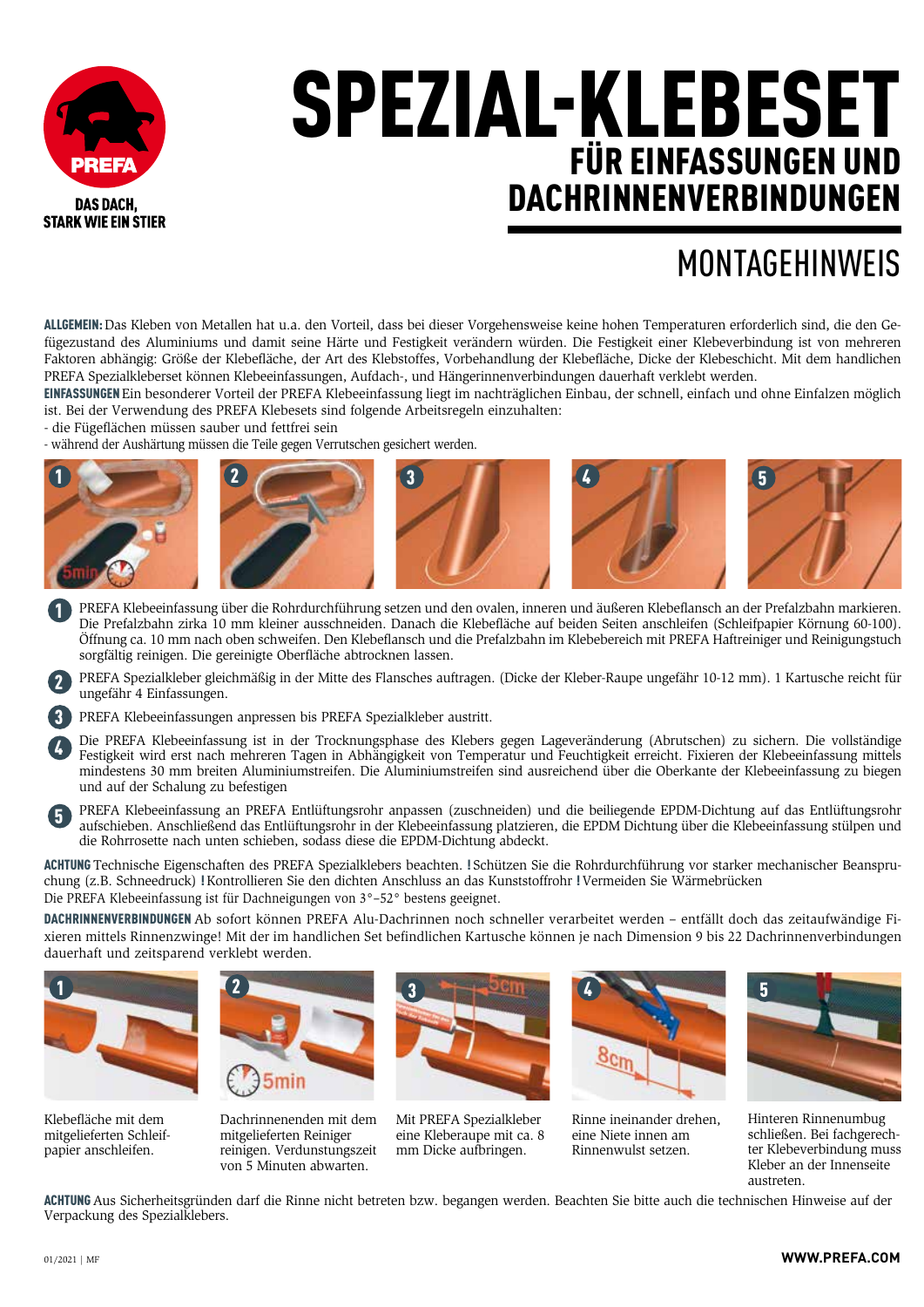

## SPEZIAL-KLEBESET FÜR EINFASSUNGEN UND DACHRINNENVERBINDUNGEN

## MONTAGEHINWEIS

ALLGEMEIN: Das Kleben von Metallen hat u.a. den Vorteil, dass bei dieser Vorgehensweise keine hohen Temperaturen erforderlich sind, die den Gefügezustand des Aluminiums und damit seine Härte und Festigkeit verändern würden. Die Festigkeit einer Klebeverbindung ist von mehreren Faktoren abhängig: Größe der Klebefläche, der Art des Klebstoffes, Vorbehandlung der Klebefläche, Dicke der Klebeschicht. Mit dem handlichen PREFA Spezialkleberset können Klebeeinfassungen, Aufdach-, und Hängerinnenverbindungen dauerhaft verklebt werden.

EINFASSUNGEN Ein besonderer Vorteil der PREFA Klebeeinfassung liegt im nachträglichen Einbau, der schnell, einfach und ohne Einfalzen möglich ist. Bei der Verwendung des PREFA Klebesets sind folgende Arbeitsregeln einzuhalten:

- die Fügeflächen müssen sauber und fettfrei sein

- während der Aushärtung müssen die Teile gegen Verrutschen gesichert werden.



- PREFA Klebeeinfassung über die Rohrdurchführung setzen und den ovalen, inneren und äußeren Klebeflansch an der Prefalzbahn markieren. Die Prefalzbahn zirka 10 mm kleiner ausschneiden. Danach die Klebefläche auf beiden Seiten anschleifen (Schleifpapier Körnung 60-100). Öffnung ca. 10 mm nach oben schweifen. Den Klebeflansch und die Prefalzbahn im Klebebereich mit PREFA Haftreiniger und Reinigungstuch sorgfältig reinigen. Die gereinigte Oberfläche abtrocknen lassen. 1
- PREFA Spezialkleber gleichmäßig in der Mitte des Flansches auftragen. (Dicke der Kleber-Raupe ungefähr 10-12 mm). 1 Kartusche reicht für ungefähr 4 Einfassungen. 2

PREFA Klebeeinfassungen anpressen bis PREFA Spezialkleber austritt.

Die PREFA Klebeeinfassung ist in der Trocknungsphase des Klebers gegen Lageveränderung (Abrutschen) zu sichern. Die vollständige Festigkeit wird erst nach mehreren Tagen in Abhängigkeit von Temperatur und Feuchtigkeit erreicht. Fixieren der Klebeeinfassung mittels mindestens 30 mm breiten Aluminiumstreifen. Die Aluminiumstreifen sind ausreichend über die Oberkante der Klebeeinfassung zu biegen und auf der Schalung zu befestigen

PREFA Klebeeinfassung an PREFA Entlüftungsrohr anpassen (zuschneiden) und die beiliegende EPDM-Dichtung auf das Entlüftungsrohr aufschieben. Anschließend das Entlüftungsrohr in der Klebeeinfassung platzieren, die EPDM Dichtung über die Klebeeinfassung stülpen und die Rohrrosette nach unten schieben, sodass diese die EPDM-Dichtung abdeckt. 5

ACHTUNG Technische Eigenschaften des PREFA Spezialklebers beachten. ! Schützen Sie die Rohrdurchführung vor starker mechanischer Beanspruchung (z.B. Schneedruck) ! Kontrollieren Sie den dichten Anschluss an das Kunststoffrohr ! Vermeiden Sie Wärmebrücken Die PREFA Klebeeinfassung ist für Dachneigungen von 3°–52° bestens geeignet.

DACHRINNENVERBINDUNGEN Ab sofort können PREFA Alu-Dachrinnen noch schneller verarbeitet werden – entfällt doch das zeitaufwändige Fixieren mittels Rinnenzwinge! Mit der im handlichen Set befindlichen Kartusche können je nach Dimension 9 bis 22 Dachrinnenverbindungen dauerhaft und zeitsparend verklebt werden.



Klebefläche mit dem mitgelieferten Schleifpapier anschleifen.



Dachrinnenenden mit dem mitgelieferten Reiniger reinigen. Verdunstungszeit von 5 Minuten abwarten.



Mit PREFA Spezialkleber eine Kleberaupe mit ca. 8 mm Dicke aufbringen.



Rinne ineinander drehen, eine Niete innen am Rinnenwulst setzen.



Hinteren Rinnenumbug schließen. Bei fachgerechter Klebeverbindung muss Kleber an der Innenseite austreten.

ACHTUNG Aus Sicherheitsgründen darf die Rinne nicht betreten bzw. begangen werden. Beachten Sie bitte auch die technischen Hinweise auf der Verpackung des Spezialklebers.

3 4